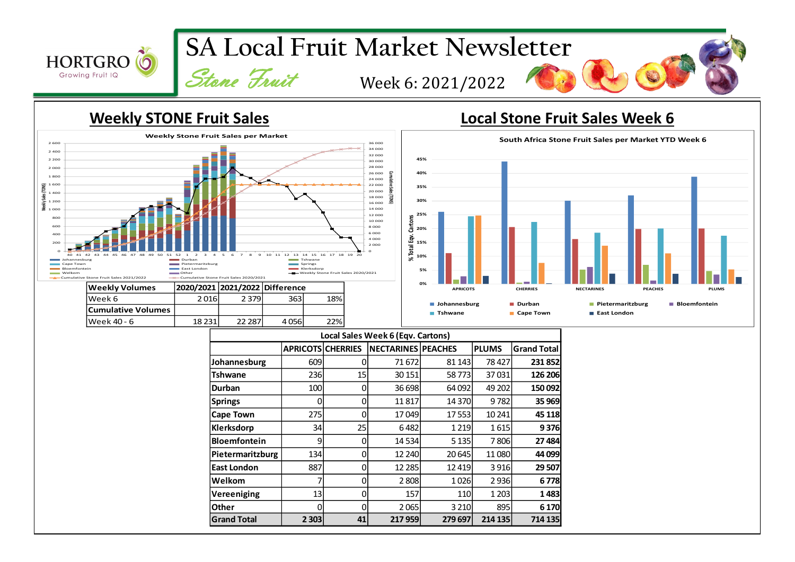

## **Weekly STONE Fruit Sales Local Stone Fruit Sales Week 6**



Week 40 - 6 18 231 22 287 4 056 22%



|                     |                          |    | Local Sales Week 6 (Eqv. Cartons) |         |              |                    |
|---------------------|--------------------------|----|-----------------------------------|---------|--------------|--------------------|
|                     | <b>APRICOTS CHERRIES</b> |    | <b>NECTARINES PEACHES</b>         |         | <b>PLUMS</b> | <b>Grand Total</b> |
| Johannesburg        | 609                      | 0  | 71 672                            | 81 143  | 78427        | 231 852            |
| Tshwane             | 236                      | 15 | 30 151                            | 58773   | 37031        | 126 206            |
| Durban              | 100                      | 0  | 36 698                            | 64 092  | 49 202       | 150 092            |
| <b>Springs</b>      |                          | 0  | 11817                             | 14 370  | 9782         | 35 969             |
| <b>Cape Town</b>    | 275                      | 0  | 17049                             | 17553   | 10 241       | 45 118             |
| Klerksdorp          | 34                       | 25 | 6482                              | 1 2 1 9 | 1615         | 9376               |
| <b>Bloemfontein</b> | 9                        | 0  | 14 5 34                           | 5 1 3 5 | 7806         | 27 484             |
| Pietermaritzburg    | 134                      | 0  | 12 240                            | 20 645  | 11080        | 44 099             |
| <b>East London</b>  | 887                      | 0  | 12 2 85                           | 12 4 19 | 3916         | 29 507             |
| Welkom              |                          | 0  | 2808                              | 1026    | 2936         | 6778               |
| Vereeniging         | 13                       | 0  | 157                               | 110     | 1 2 0 3      | 1483               |
| Other               | n                        | 0  | 2065                              | 3 2 1 0 | 895          | 6 1 7 0            |
| <b>Grand Total</b>  | 2 3 0 3                  | 41 | 217 959                           | 279 697 | 214 135      | 714 135            |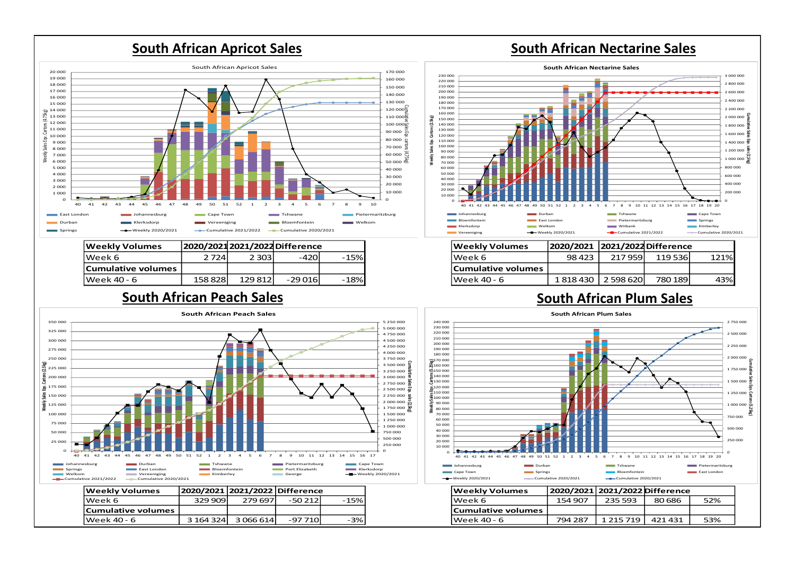

## **South African Peach Sales South African Plum Sales**



| <b>Weekly Volumes</b> | 2020/2021 2021/2022 Difference |           |          |      |
|-----------------------|--------------------------------|-----------|----------|------|
| lWeek 6               | 329 909l                       | 279 697   | $-50212$ | -15% |
| Cumulative volumes    |                                |           |          |      |
| lWeek 40 - 6          | 3 164 324                      | 3 066 614 | -97 710  | -3%  |





| Weekly Volumes            | 2020/2021 2021/2022 Difference |           |         |      |
|---------------------------|--------------------------------|-----------|---------|------|
| Week 6                    | 98 4 23                        | 217959    | 119536  | 121% |
| <b>Cumulative volumes</b> |                                |           |         |      |
| lWeek 40 - 6              | 1818430                        | 2 598 620 | 780 189 | 43%  |



| Weekly Volumes            |         | 2020/2021 2021/2022 Difference |         |     |
|---------------------------|---------|--------------------------------|---------|-----|
| Week 6                    | 154 907 | 235 593                        | 80 686  | 52% |
| <b>Cumulative volumes</b> |         |                                |         |     |
| lWeek 40 - 6              | 794 287 | 1 215 719                      | 421 431 | 53% |